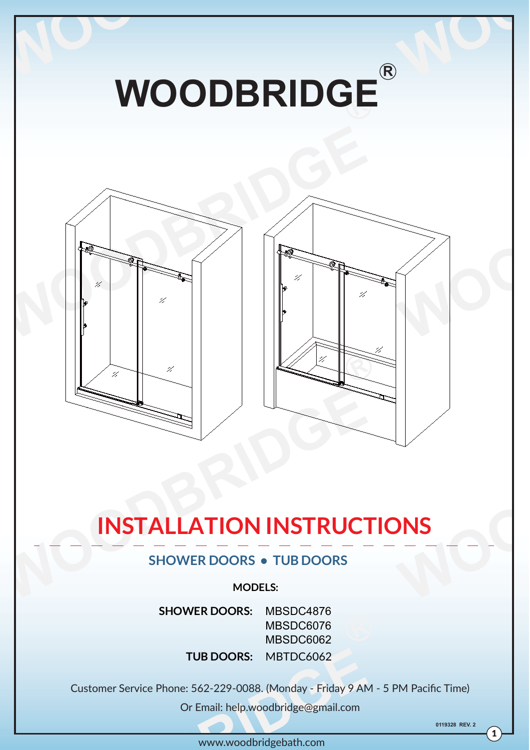

# **INSTALLATION INSTRUCTIONS**

# **SHOWER DOORS • TUB DOORS**

#### **MODELS:**

**TUB DOORS:** MBTDC6062 **SHOWER DOORS:** MBSDC4876 MBSDC6076 MBSDC6062

Customer Service Phone: 562-229-0088. (Monday - Friday 9 AM - 5 PM Pacific Time)

Or Email: help.woodbridge@gmail.com

**0119328 REV. 2**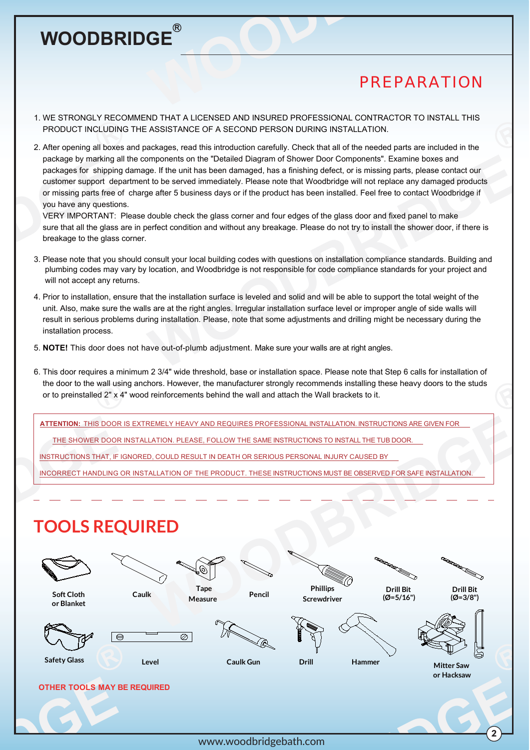# *PREPARATION*

2

- 1. WE STRONGLY RECOMMEND THAT A LICENSED AND INSURED PROFESSIONAL CONTRACTOR TO INSTALL THIS PRODUCT INCLUDING THE ASSISTANCE OF A SECOND PERSON DURING INSTALLATION.
- 2. After opening all boxes and packages, read this introduction carefully. Check that all of the needed parts are included in the package by marking all the components on the "Detailed Diagram of Shower Door Components". Examine boxes and packages for shipping damage. If the unit has been damaged, has a finishing defect, or is missing parts, please contact our customer support department to be served immediately. Please note that Woodbridge will not replace any damaged products or missing parts free of charge after 5 business days or if the product has been installed. Feel free to contact Woodbridge if you have any questions.

 VERY IMPORTANT: Please double check the glass corner and four edges of the glass door and fixed panel to make sure that all the glass are in perfect condition and without any breakage. Please do not try to install the shower door, if there is breakage to the glass corner.

- 3. Please note that you should consult your local building codes with questions on installation compliance standards. Building and plumbing codes may vary by location, and Woodbridge is not responsible for code compliance standards for your project and will not accept any returns.
- 4. Prior to installation, ensure that the installation surface is leveled and solid and will be able to support the total weight of the unit. Also, make sure the walls are at the right angles. Irregular installation surface level or improper angle of side walls will result in serious problems during installation. Please, note that some adjustments and drilling might be necessary during the installation process.
- 5. **NOTE!** This door does not have out-of-plumb adjustment. Make sure your walls are at right angles.
- 6. This door requires a minimum 2 3/4" wide threshold, base or installation space. Please note that Step 6 calls for installation of the door to the wall using anchors. However, the manufacturer strongly recommends installing these heavy doors to the studs or to preinstalled 2" x 4" wood reinforcements behind the wall and attach the Wall brackets to it.

**ATTENTION:** THIS DOOR IS EXTREMELY HEAVY AND REQUIRES PROFESSIONAL INSTALLATION. INSTRUCTIONS ARE GIVEN FOR

THE SHOWER DOOR INSTALLATION. PLEASE, FOLLOW THE SAME INSTRUCTIONS TO INSTALL THE TUB DOOR.

INSTRUCTIONS THAT, IF IGNORED, COULD RESULT IN DEATH OR SERIOUS PERSONAL INJURY CAUSED BY

INCORRECT HANDLING OR INSTALLATION OF THE PRODUCT. THESE INSTRUCTIONS MUST BE OBSERVED FOR SAFE INSTALLATION.

# **TOOLS REQUIRED**

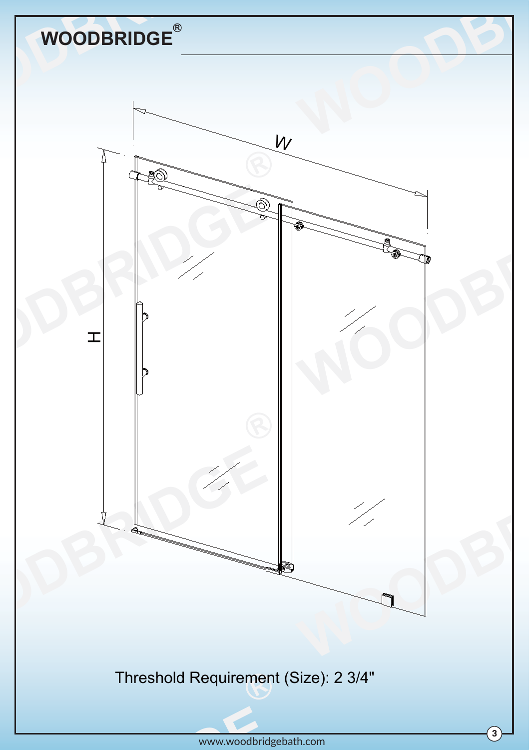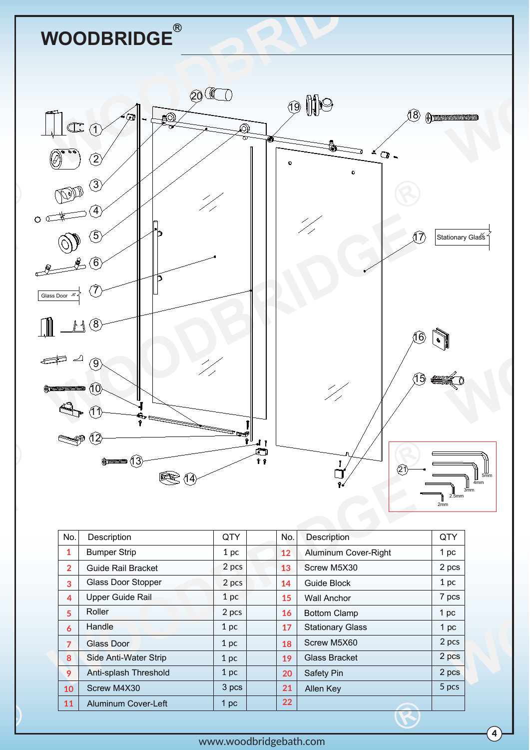

| No.            | Description                  | QTY             | No. | <b>Description</b>      | QTY             |
|----------------|------------------------------|-----------------|-----|-------------------------|-----------------|
| $\mathbf{1}$   | <b>Bumper Strip</b>          | 1 <sub>pc</sub> | 12  | Aluminum Cover-Right    | 1 pc            |
| $\overline{2}$ | <b>Guide Rail Bracket</b>    | 2 pcs           | 13  | Screw M5X30             | 2 pcs           |
| 3              | <b>Glass Door Stopper</b>    | 2 pcs           | 14  | Guide Block             | 1 <sub>pc</sub> |
| 4              | Upper Guide Rail             | 1 <sub>pc</sub> | 15  | <b>Wall Anchor</b>      | 7 pcs           |
| 5              | Roller                       | 2 pcs           | 16  | <b>Bottom Clamp</b>     | 1 <sub>pc</sub> |
| 6              | Handle                       | 1 pc            | 17  | <b>Stationary Glass</b> | 1 <sub>pc</sub> |
| $\overline{7}$ | Glass Door                   | 1 <sub>pc</sub> | 18  | Screw M5X60             | 2 pcs           |
| 8              | <b>Side Anti-Water Strip</b> | 1 <sub>pc</sub> | 19  | Glass Bracket           | 2 pcs           |
| 9              | Anti-splash Threshold        | 1 <sub>pc</sub> | 20  | <b>Safety Pin</b>       | 2 pcs           |
| 10             | Screw M4X30                  | 3 pcs           | 21  | Allen Key               | 5 pcs           |
| 11             | <b>Aluminum Cover-Left</b>   | 1 <sub>pc</sub> | 22  |                         |                 |
|                |                              |                 |     |                         |                 |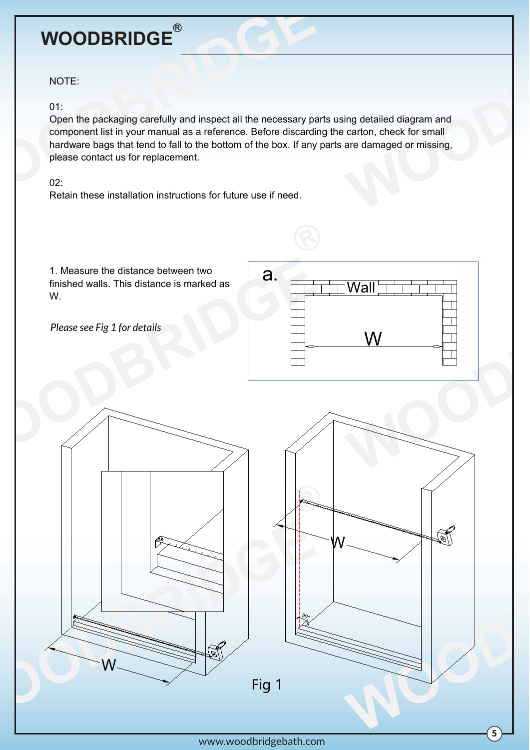#### NOTE:

#### 01:

Open the packaging carefully and inspect all the necessary parts using detailed diagram and component list in your manual as a reference. Before discarding the carton, check for small hardware bags that tend to fall to the bottom of the box. If any parts are damaged or missing, please contact us for replacement.

#### $02<sup>1</sup>$

Retain these installation instructions for future use if need.

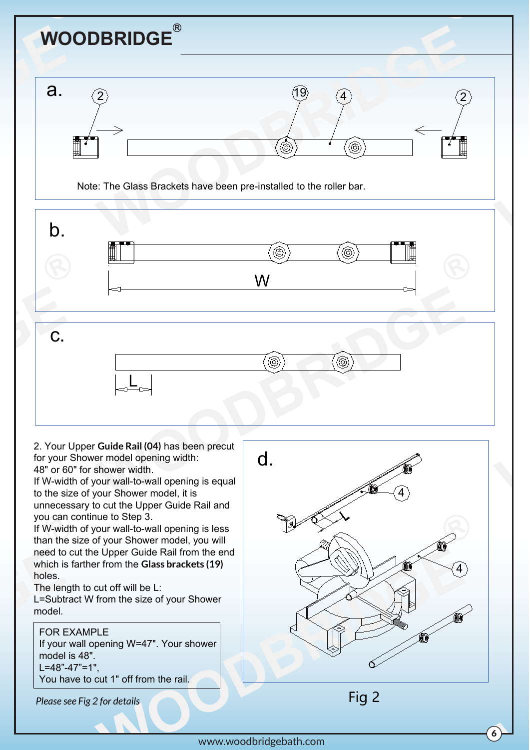

to the size of your Shower model, it is unnecessary to cut the Upper Guide Rail and you can continue to Step 3.

If W-width of your wall-to-wall opening is less than the size of your Shower model, you will need to cut the Upper Guide Rail from the end which is farther from the **Glass brackets (19)** holes.

The length to cut off will be L:

L=Subtract W from the size of your Shower model.

#### FOR EXAMPLE

If your wall opening W=47". Your shower model is 48". L=48"-47"=1", You have to cut 1" off from the rail.

*Please see Fig 2 for details*



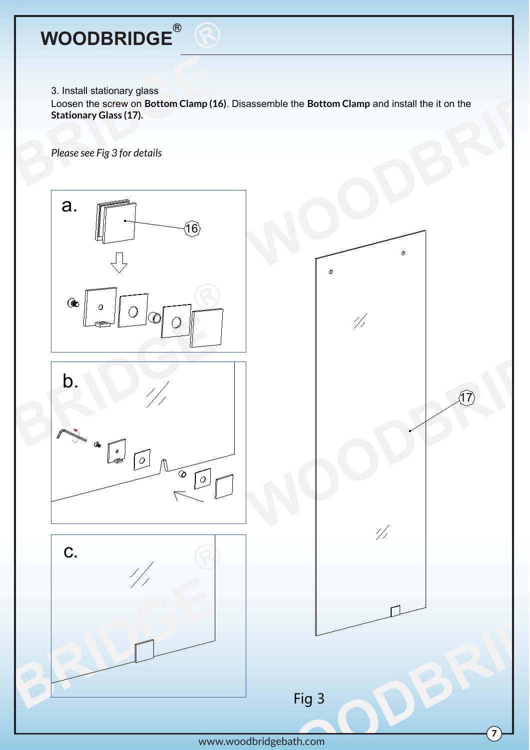# $\mathsf{WOODBRIDGE}^\mathsf{R}$

3. Install stationary glass

Loosen the screw on **Bottom Clamp (16)**. Disassemble the **Bottom Clamp** and install the it on the **Stationary Glass (17).**

*Please see Fig 3 for details*



www.woodbridgebath.com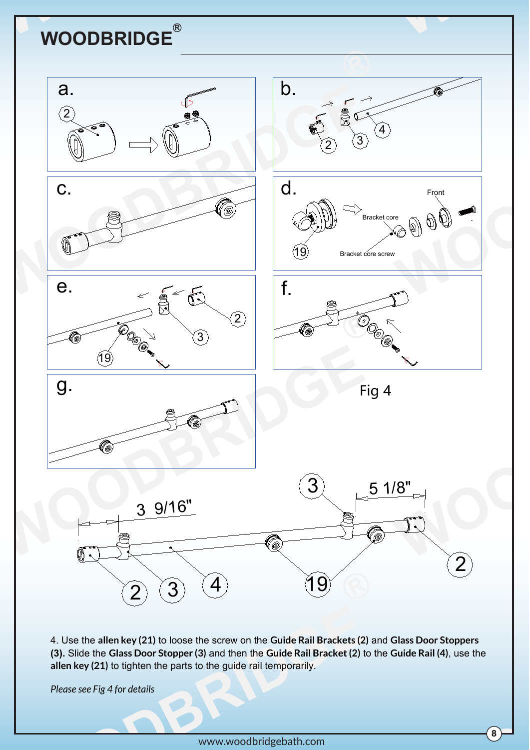

4. Use the **allen key (21)** to loose the screw on the **Guide Rail Brackets (2)** and **Glass Door Stoppers (3).** Slide the **Glass Door Stopper (3)** and then the **Guide Rail Bracket (2)** to the **Guide Rail (4)**, use the **allen key (21)** to tighten the parts to the guide rail temporarily.

*Please see Fig 4 for details*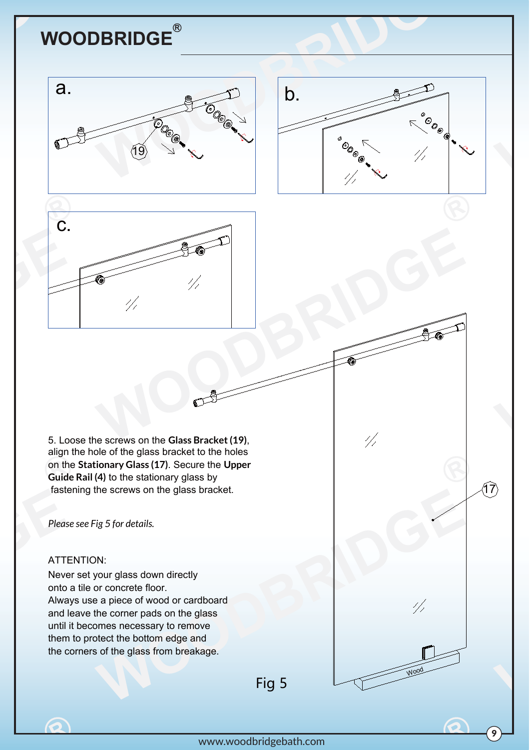



 $\frac{1}{2}$ 

17

9

Wood

 $1/2$ 



5. Loose the screws on the **Glass Bracket (19)**, align the hole of the glass bracket to the holes on the **Stationary Glass (17)**. Secure the **Upper Guide Rail (4)** to the stationary glass by fastening the screws on the glass bracket.

 $\mathbb{C}$ 

*Please see Fig 5 for details.*

#### ATTENTION:

 $\bullet$ 

Never set your glass down directly onto a tile or concrete floor. Always use a piece of wood or cardboard and leave the corner pads on the glass until it becomes necessary to remove them to protect the bottom edge and the corners of the glass from breakage.

Fig 5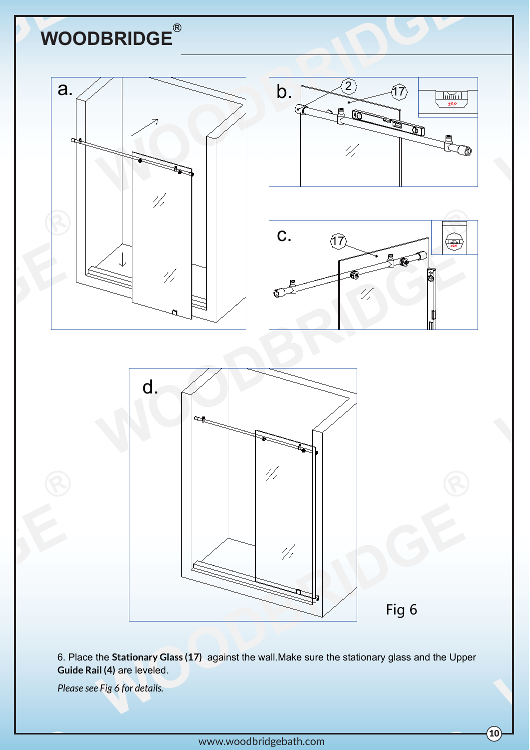



Fig 6

10

6. Place the **Stationary Glass (17)** against the wall.Make sure the stationary glass and the Upper **Guide Rail (4)** are leveled.

*Please see Fig 6 for details.*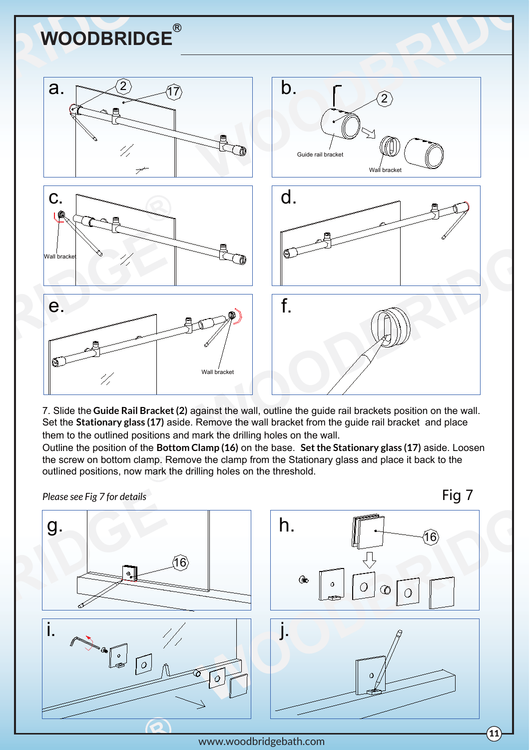

7. Slide the **Guide Rail Bracket (2)** against the wall, outline the guide rail brackets position on the wall. Set the **Stationary glass (17)** aside. Remove the wall bracket from the guide rail bracket and place them to the outlined positions and mark the drilling holes on the wall.

Outline the position of the **Bottom Clamp (16)** on the base. **Set the Stationary glass (17)** aside. Loosen the screw on bottom clamp. Remove the clamp from the Stationary glass and place it back to the outlined positions, now mark the drilling holes on the threshold.



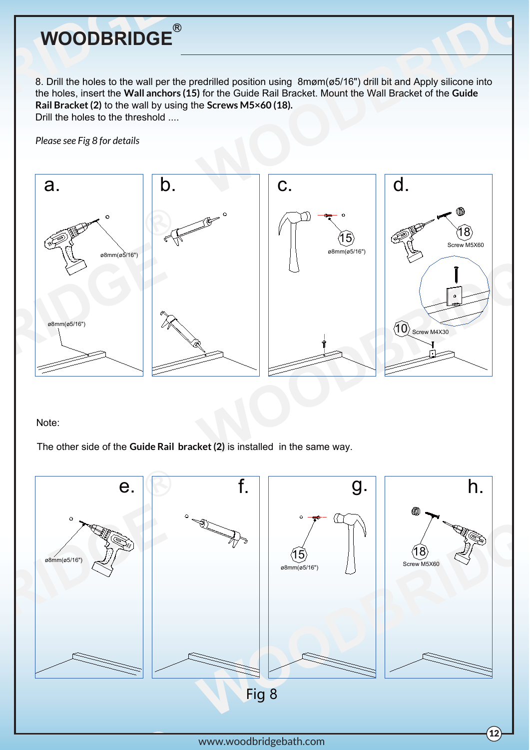8. Drill the holes to the wall per the predrilled position using 8møm(ø5/16") drill bit and Apply silicone into the holes, insert the **Wall anchors (15)** for the Guide Rail Bracket. Mount the Wall Bracket of the **Guide Rail Bracket (2)** to the wall by using the **Screws M5×60 (18).**  Drill the holes to the threshold ....

*Please see Fig 8 for details*



Note:

The other side of the **Guide Rail bracket (2)** is installed in the same way.

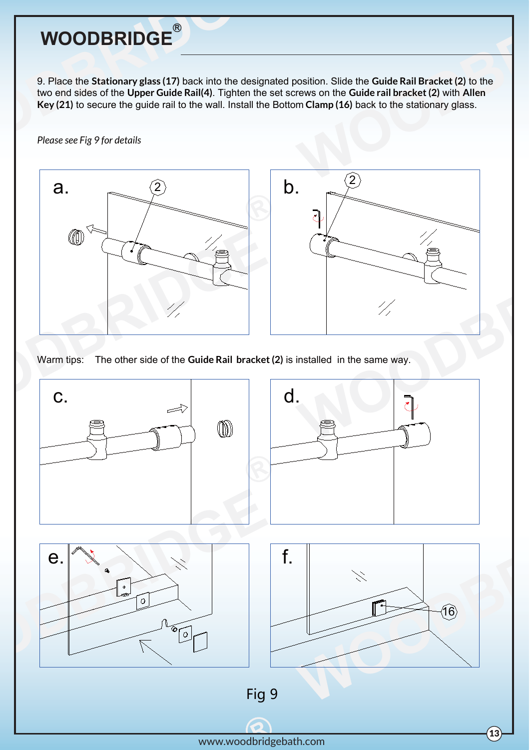9. Place the **Stationary glass (17)** back into the designated position. Slide the **Guide Rail Bracket (2)** to the two end sides of the **Upper Guide Rail(4)**. Tighten the set screws on the **Guide rail bracket (2)** with **Allen Key (21)** to secure the guide rail to the wall. Install the Bottom **Clamp (16)** back to the stationary glass.

*Please see Fig 9 for details*



Warm tips: The other side of the **Guide Rail bracket (2)** is installed in the same way.

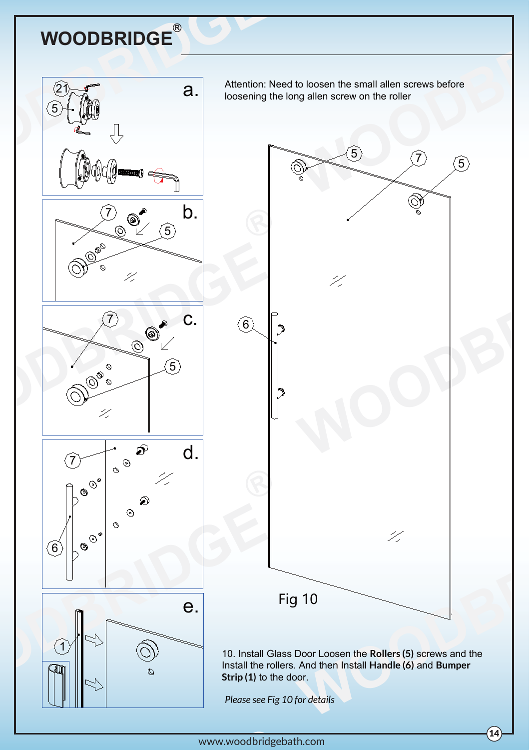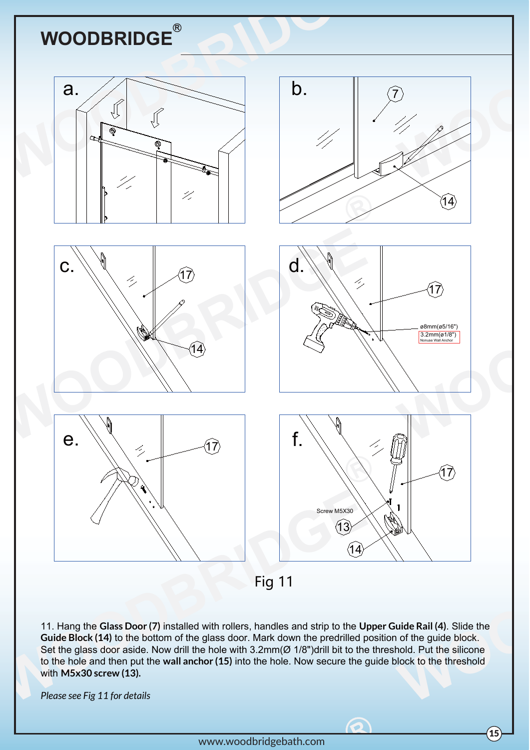

Fig 11

11. Hang the **Glass Door (7)** installed with rollers, handles and strip to the **Upper Guide Rail (4)**. Slide the **Guide Block (14)** to the bottom of the glass door. Mark down the predrilled position of the guide block. Set the glass door aside. Now drill the hole with 3.2mm(Ø 1/8")drill bit to the threshold. Put the silicone to the hole and then put the **wall anchor (15)** into the hole. Now secure the guide block to the threshold with **M5x30 screw (13).**

*Please see Fig 11 for details*

 $\odot$ 

 $\left( 15\right)$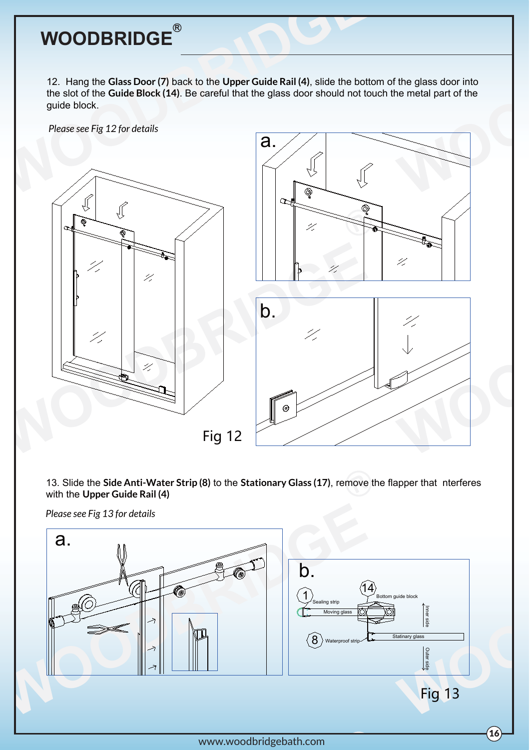12. Hang the **Glass Door (7)** back to the **Upper Guide Rail (4)**, slide the bottom of the glass door into the slot of the **Guide Block (14)**. Be careful that the glass door should not touch the metal part of the guide block.

*Please see Fig 12 for details*



13. Slide the **Side Anti-Water Strip (8)** to the **Stationary Glass (17)**, remove the flapper that nterferes with the **Upper Guide Rail (4)**

*Please see Fig 13 for details*

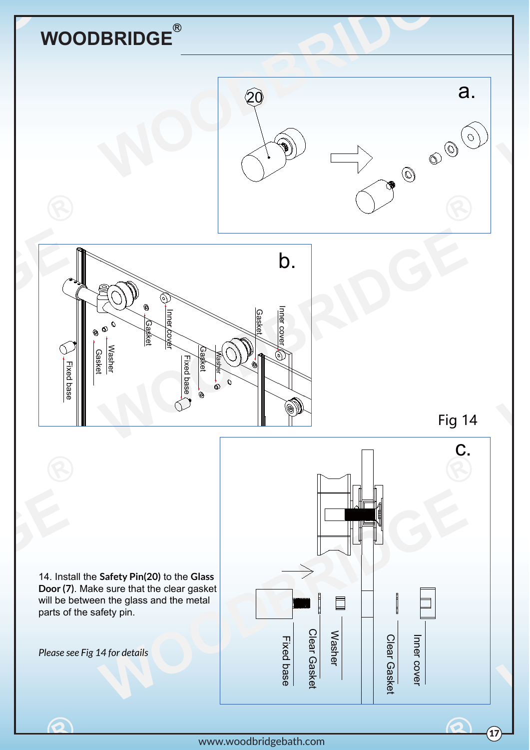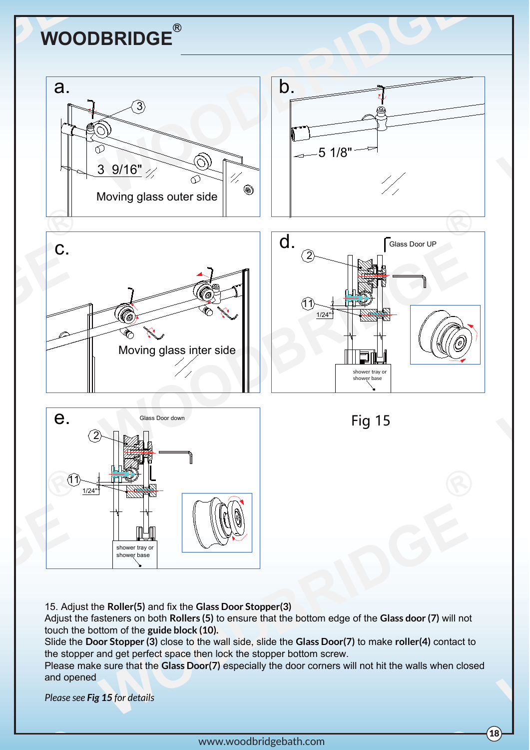

15. Adjust the **Roller(5)** and fix the **Glass Door Stopper(3)**

Adjust the fasteners on both **Rollers (5)** to ensure that the bottom edge of the **Glass door (7)** will not touch the bottom of the **guide block (10).**

Slide the **Door Stopper (3)** close to the wall side, slide the **Glass Door(7)** to make **roller(4)** contact to the stopper and get perfect space then lock the stopper bottom screw.

Please make sure that the **Glass Door(7)** especially the door corners will not hit the walls when closed and opened

*Please see Fig 15 for details*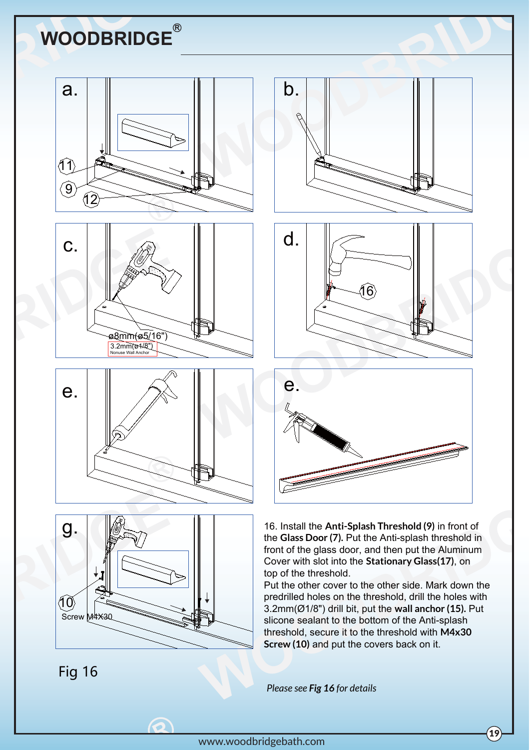







C

Fig 16





16. Install the **Anti-Splash Threshold (9)** in front of the **Glass Door (7).** Put the Anti-splash threshold in front of the glass door, and then put the Aluminum Cover with slot into the **Stationary Glass(17)**, on top of the threshold.

Put the other cover to the other side. Mark down the predrilled holes on the threshold, drill the holes with 3.2mm(Ø1/8") drill bit, put the **wall anchor (15).** Put slicone sealant to the bottom of the Anti-splash threshold, secure it to the threshold with **M4x30 Screw (10)** and put the covers back on it.

*Please see Fig 16 for details*

 $\sqrt{19}$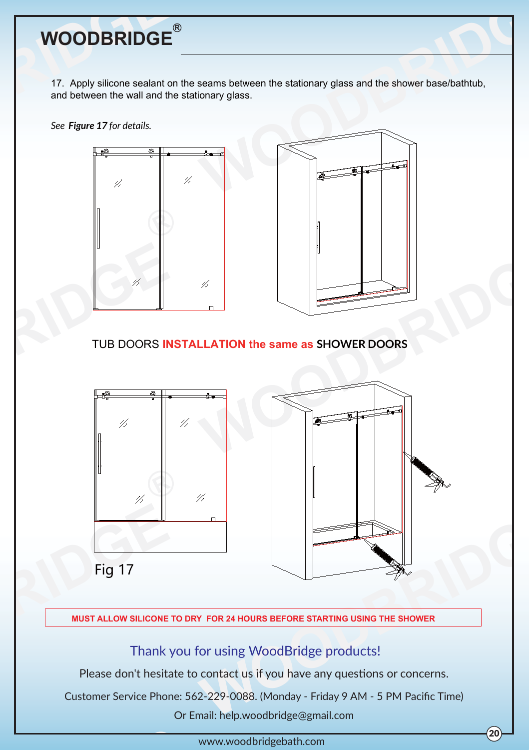

17. Apply silicone sealant on the seams between the stationary glass and the shower base/bathtub, and between the wall and the stationary glass.

*See Figure 17 for details.*



TUB DOORS **INSTALLATION the same as SHOWER DOORS**



**MUST ALLOW SILICONE TO DRY FOR 24 HOURS BEFORE STARTING USING THE SHOWER**

Thank you for using WoodBridge products!

Please don't hesitate to contact us if you have any questions or concerns.

Customer Service Phone: 562-229-0088. (Monday - Friday 9 AM - 5 PM Pacific Time)

Or Email: help.woodbridge@gmail.com

www.woodbridgebath.com